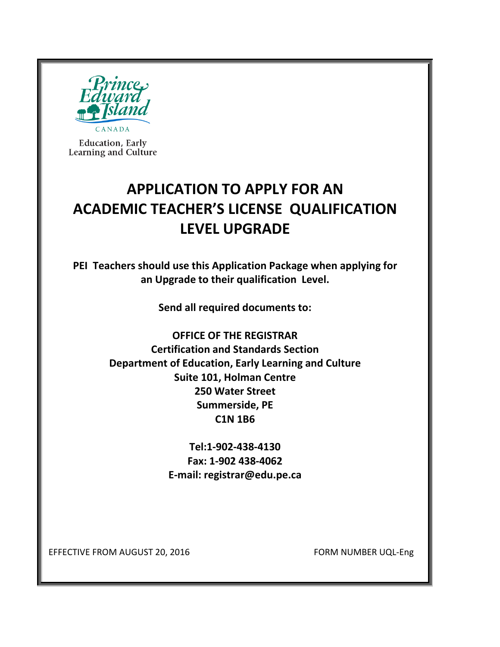

**Education**, Early Learning and Culture

# **APPLICATION TO APPLY FOR AN ACADEMIC TEACHER'S LICENSE QUALIFICATION LEVEL UPGRADE**

**PEI Teachers should use this Application Package when applying for an Upgrade to their qualification Level.** 

**Send all required documents to:** 

**OFFICE OF THE REGISTRAR Certification and Standards Section Department of Education, Early Learning and Culture Suite 101, Holman Centre 250 Water Street Summerside, PE C1N 1B6** 

> **Tel:1-902-438-4130 Fax: 1-[902 438-4062](mailto:registrar@edu.pe.ca)  E-mail: registrar@edu.pe.ca**

EFFECTIVE FROM AUGUST 20, 2016 FORM NUMBER UQL-Eng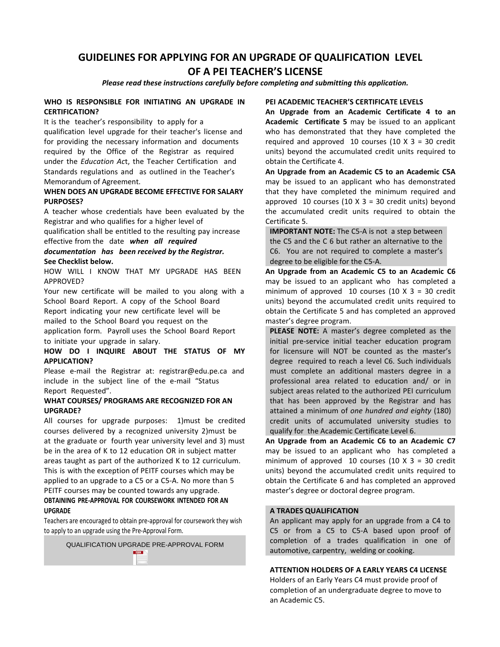## **GUIDELINES FOR APPLYING FOR AN UPGRADE OF QUALIFICATION LEVEL OF A PEI TEACHER'S LICENSE**

*Please read these instructions carefully before completing and submitting this application.* 

#### **WHO IS RESPONSIBLE FOR INITIATING AN UPGRADE IN CERTIFICATION?**

It is the teacher's responsibility to apply for a qualification level upgrade for their teacher's license and for providing the necessary information and documents required by the Office of the Registrar as required under the *Education Ac*t, the Teacher Certification and Standards regulations and as outlined in the Teacher's Memorandum of Agreement.

#### **WHEN DOES AN UPGRADE BECOME EFFECTIVE FOR SALARY PURPOSES?**

A teacher whose credentials have been evaluated by the Registrar and who qualifies for a higher level of

qualification shall be entitled to the resulting pay increase effective from the date *when all required* 

#### *documentation has been received by the Registrar.*  **See Checklist below.**

HOW WILL I KNOW THAT MY UPGRADE HAS BEEN APPROVED?

Your new certificate will be mailed to you along with a School Board Report. A copy of the School Board Report indicating your new certificate level will be mailed to the School Board you request on the application form. Payroll uses the School Board Report to initiate your upgrade in salary.

#### **HOW DO I INQUIRE ABOUT THE [STATUS](mailto:registrar@edu.pe.ca) OF MY APPLICATION?**

Please e-mail the Registrar at: registrar@edu.pe.ca and include in the subject line of the e-mail "Status Report Requested".

#### **WHAT COURSES/ PROGRAMS ARE RECOGNIZED FOR AN UPGRADE?**

All courses for upgrade purposes: 1)must be credited courses delivered by a recognized university 2)must be at the graduate or fourth year university level and 3) must be in the area of K to 12 education OR in subject matter areas taught as part of the authorized K to 12 curriculum. This is with the exception of PEITF courses which may be applied to an upgrade to a C5 or a C5-A. No more than 5 PEITF courses may be counted towards any upgrade. **OBTAINING PRE-APPROVAL FOR COURSEWORK INTENDED FOR AN UPGRADE** 

Teachers are [encouraged to obtain pre-approval for coursework th](http://www.gov.pe.ca/forms/pdf/2291.pdf)ey wish to apply to an upgrade using the Pre-Approval Form.

QUALIFICATION UPGRADE PRE-APPROVAL FORM

#### **PEI ACADEMIC TEACHER'S CERTIFICATE LEVELS**

**An Upgrade from an Academic Certificate 4 to an Academic Certificate 5** may be issued to an applicant who has demonstrated that they have completed the required and approved 10 courses (10  $\times$  3 = 30 credit units) beyond the accumulated credit units required to obtain the Certificate 4.

**An Upgrade from an Academic C5 to an Academic C5A**  may be issued to an applicant who has demonstrated that they have completed the minimum required and approved 10 courses (10  $X$  3 = 30 credit units) beyond the accumulated credit units required to obtain the Certificate 5.

**IMPORTANT NOTE:** The C5-A is not a step between the C5 and the C 6 but rather an alternative to the C6. You are not required to complete a master's degree to be eligible for the C5-A.

**An Upgrade from an Academic C5 to an Academic C6**  may be issued to an applicant who has completed a minimum of approved 10 courses (10  $\times$  3 = 30 credit units) beyond the accumulated credit units required to obtain the Certificate 5 and has completed an approved master's degree program.

**PLEASE NOTE:** A master's degree completed as the initial pre-service initial teacher education program for licensure will NOT be counted as the master's degree required to reach a level C6. Such individuals must complete an additional masters degree in a professional area related to education and/ or in subject areas related to the authorized PEI curriculum that has been approved by the Registrar and has attained a minimum of *one hundred and eighty* (180) credit units of accumulated university studies to qualify for the Academic Certificate Level 6.

**An Upgrade from an Academic C6 to an Academic C7** may be issued to an applicant who has completed a minimum of approved 10 courses (10  $\times$  3 = 30 credit units) beyond the accumulated credit units required to obtain the Certificate 6 and has completed an approved master's degree or doctoral degree program.

#### **A TRADES QUALIFICATION**

An applicant may apply for an upgrade from a C4 to C5 or from a C5 to C5-A based upon proof of completion of a trades qualification in one of automotive, carpentry, welding or cooking.

#### **ATTENTION HOLDERS OF A EARLY YEARS C4 LICENSE**

Holders of an Early Years C4 must provide proof of completion of an undergraduate degree to move to an Academic C5.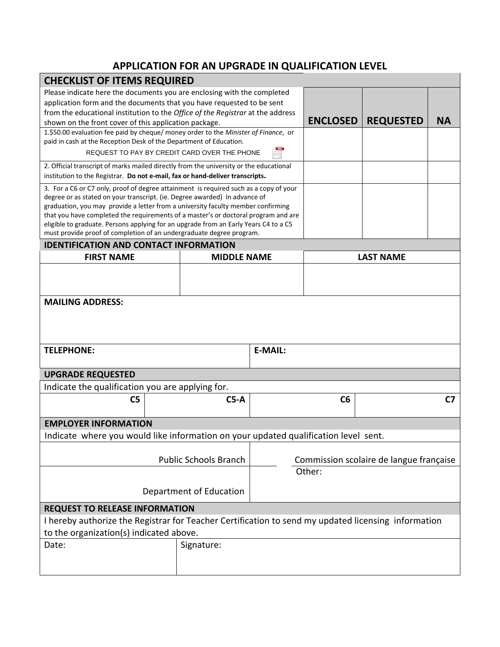### **APPLICATION FOR AN UPGRADE IN QUALIFICATION LEVEL**

| <b>CHECKLIST OF ITEMS REQUIRED</b>                                                                                                                                                                                                                                                                                                                                                                                   |                                                   |                  |           |                  |  |  |  |  |
|----------------------------------------------------------------------------------------------------------------------------------------------------------------------------------------------------------------------------------------------------------------------------------------------------------------------------------------------------------------------------------------------------------------------|---------------------------------------------------|------------------|-----------|------------------|--|--|--|--|
| Please indicate here the documents you are enclosing with the completed<br>application form and the documents that you have requested to be sent                                                                                                                                                                                                                                                                     |                                                   |                  |           |                  |  |  |  |  |
| from the educational institution to the Office of the Registrar at the address<br>shown on the front cover of this application package.                                                                                                                                                                                                                                                                              | <b>ENCLOSED</b>                                   | <b>REQUESTED</b> | <b>NA</b> |                  |  |  |  |  |
| 1.\$50.00 evaluation fee paid by cheque/ money order to the Minister of Finance, or<br>paid in cash at the Reception Desk of the Department of Education.                                                                                                                                                                                                                                                            |                                                   |                  |           |                  |  |  |  |  |
| REQUEST TO PAY BY CREDIT CARD OVER THE PHONE                                                                                                                                                                                                                                                                                                                                                                         |                                                   |                  |           |                  |  |  |  |  |
| 2. Official transcript of marks mailed directly from the university or the educational                                                                                                                                                                                                                                                                                                                               |                                                   |                  |           |                  |  |  |  |  |
| institution to the Registrar. Do not e-mail, fax or hand-deliver transcripts.<br>3. For a C6 or C7 only, proof of degree attainment is required such as a copy of your                                                                                                                                                                                                                                               |                                                   |                  |           |                  |  |  |  |  |
| degree or as stated on your transcript. (ie. Degree awarded) In advance of<br>graduation, you may provide a letter from a university faculty member confirming<br>that you have completed the requirements of a master's or doctoral program and are<br>eligible to graduate. Persons applying for an upgrade from an Early Years C4 to a C5<br>must provide proof of completion of an undergraduate degree program. |                                                   |                  |           |                  |  |  |  |  |
| <b>IDENTIFICATION AND CONTACT INFORMATION</b>                                                                                                                                                                                                                                                                                                                                                                        |                                                   |                  |           |                  |  |  |  |  |
| <b>FIRST NAME</b>                                                                                                                                                                                                                                                                                                                                                                                                    | <b>MIDDLE NAME</b>                                |                  |           | <b>LAST NAME</b> |  |  |  |  |
|                                                                                                                                                                                                                                                                                                                                                                                                                      |                                                   |                  |           |                  |  |  |  |  |
| <b>E-MAIL:</b><br><b>TELEPHONE:</b>                                                                                                                                                                                                                                                                                                                                                                                  |                                                   |                  |           |                  |  |  |  |  |
|                                                                                                                                                                                                                                                                                                                                                                                                                      |                                                   |                  |           |                  |  |  |  |  |
| <b>UPGRADE REQUESTED</b>                                                                                                                                                                                                                                                                                                                                                                                             |                                                   |                  |           |                  |  |  |  |  |
| Indicate the qualification you are applying for.                                                                                                                                                                                                                                                                                                                                                                     |                                                   |                  |           |                  |  |  |  |  |
|                                                                                                                                                                                                                                                                                                                                                                                                                      | C <sub>5</sub><br>$C5-A$                          |                  |           | C6               |  |  |  |  |
| <b>EMPLOYER INFORMATION</b>                                                                                                                                                                                                                                                                                                                                                                                          |                                                   |                  |           |                  |  |  |  |  |
| Indicate where you would like information on your updated qualification level sent.                                                                                                                                                                                                                                                                                                                                  |                                                   |                  |           |                  |  |  |  |  |
| <b>Public Schools Branch</b>                                                                                                                                                                                                                                                                                                                                                                                         | Commission scolaire de langue française<br>Other: |                  |           |                  |  |  |  |  |
| Department of Education                                                                                                                                                                                                                                                                                                                                                                                              |                                                   |                  |           |                  |  |  |  |  |
| <b>REQUEST TO RELEASE INFORMATION</b>                                                                                                                                                                                                                                                                                                                                                                                |                                                   |                  |           |                  |  |  |  |  |
| I hereby authorize the Registrar for Teacher Certification to send my updated licensing information                                                                                                                                                                                                                                                                                                                  |                                                   |                  |           |                  |  |  |  |  |
| to the organization(s) indicated above.                                                                                                                                                                                                                                                                                                                                                                              |                                                   |                  |           |                  |  |  |  |  |
| Date:                                                                                                                                                                                                                                                                                                                                                                                                                | Signature:                                        |                  |           |                  |  |  |  |  |
|                                                                                                                                                                                                                                                                                                                                                                                                                      |                                                   |                  |           |                  |  |  |  |  |